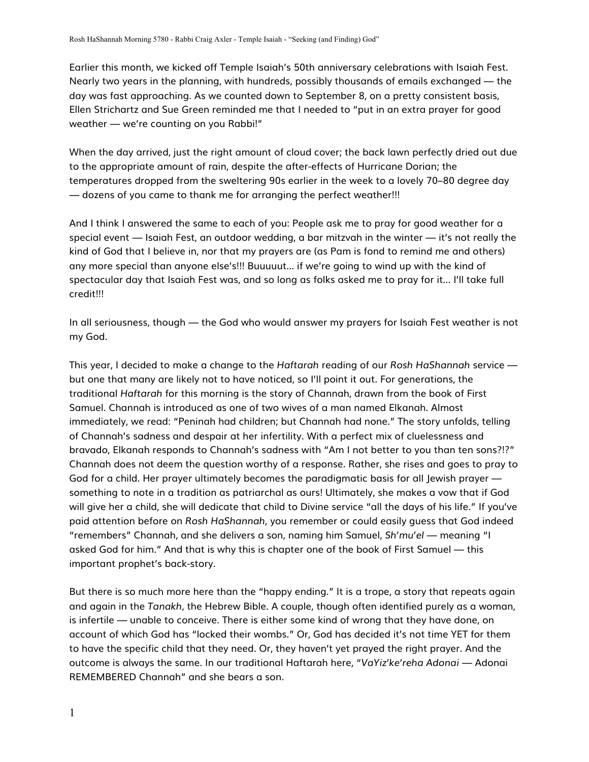Earlier this month, we kicked off Temple Isaiah's 50th anniversary celebrations with Isaiah Fest. Nearly two years in the planning, with hundreds, possibly thousands of emails exchanged — the day was fast approaching. As we counted down to September 8, on a pretty consistent basis, Ellen Strichartz and Sue Green reminded me that I needed to "put in an extra prayer for good weather — we're counting on you Rabbi!"

When the day arrived, just the right amount of cloud cover; the back lawn perfectly dried out due to the appropriate amount of rain, despite the after-effects of Hurricane Dorian; the temperatures dropped from the sweltering 90s earlier in the week to a lovely 70–80 degree day — dozens of you came to thank me for arranging the perfect weather!!!

And I think I answered the same to each of you: People ask me to pray for good weather for a special event — Isaiah Fest, an outdoor wedding, a bar mitzvah in the winter — it's not really the kind of God that I believe in, nor that my prayers are (as Pam is fond to remind me and others) any more special than anyone else's!!! Buuuuut... if we're going to wind up with the kind of spectacular day that Isaiah Fest was, and so long as folks asked me to pray for it... I'll take full credit!!!

In all seriousness, though — the God who would answer my prayers for Isaiah Fest weather is not my God.

This year, I decided to make a change to the *Haftarah* reading of our *Rosh HaShannah* service but one that many are likely not to have noticed, so I'll point it out. For generations, the traditional *Haftarah* for this morning is the story of Channah, drawn from the book of First Samuel. Channah is introduced as one of two wives of a man named Elkanah. Almost immediately, we read: "Peninah had children; but Channah had none." The story unfolds, telling of Channah's sadness and despair at her infertility. With a perfect mix of cluelessness and bravado, Elkanah responds to Channah's sadness with "Am I not better to you than ten sons?!?" Channah does not deem the question worthy of a response. Rather, she rises and goes to pray to God for a child. Her prayer ultimately becomes the paradigmatic basis for all Jewish prayer something to note in a tradition as patriarchal as ours! Ultimately, she makes a vow that if God will give her a child, she will dedicate that child to Divine service "all the days of his life." If you've paid attention before on *Rosh HaShannah*, you remember or could easily guess that God indeed "remembers" Channah, and she delivers a son, naming him Samuel, *Sh'mu'el* — meaning "I asked God for him." And that is why this is chapter one of the book of First Samuel — this important prophet's back-story.

But there is so much more here than the "happy ending." It is a trope, a story that repeats again and again in the *Tanakh*, the Hebrew Bible. A couple, though often identified purely as a woman, is infertile — unable to conceive. There is either some kind of wrong that they have done, on account of which God has "locked their wombs." Or, God has decided it's not time YET for them to have the specific child that they need. Or, they haven't yet prayed the right prayer. And the outcome is always the same. In our traditional Haftarah here, "*VaYiz'ke'reha Adonai* — Adonai REMEMBERED Channah" and she bears a son.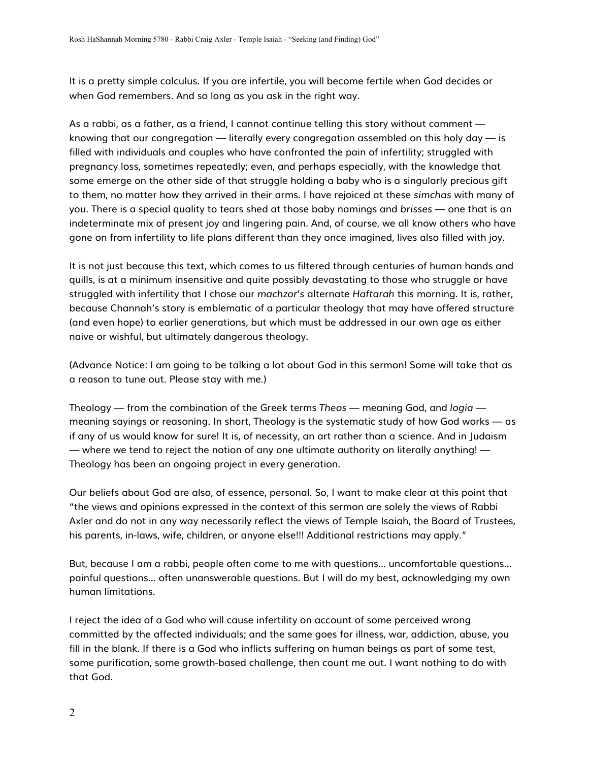It is a pretty simple calculus. If you are infertile, you will become fertile when God decides or when God remembers. And so long as you ask in the right way.

As a rabbi, as a father, as a friend, I cannot continue telling this story without comment knowing that our congregation — literally every congregation assembled on this holy day — is filled with individuals and couples who have confronted the pain of infertility; struggled with pregnancy loss, sometimes repeatedly; even, and perhaps especially, with the knowledge that some emerge on the other side of that struggle holding a baby who is a singularly precious gift to them, no matter how they arrived in their arms. I have rejoiced at these *simchas* with many of you. There is a special quality to tears shed at those baby namings and *brisses* — one that is an indeterminate mix of present joy and lingering pain. And, of course, we all know others who have gone on from infertility to life plans different than they once imagined, lives also filled with joy.

It is not just because this text, which comes to us filtered through centuries of human hands and quills, is at a minimum insensitive and quite possibly devastating to those who struggle or have struggled with infertility that I chose our *machzor's* alternate *Haftarah* this morning. It is, rather, because Channah's story is emblematic of a particular theology that may have offered structure (and even hope) to earlier generations, but which must be addressed in our own age as either naive or wishful, but ultimately dangerous theology.

(Advance Notice: I am going to be talking a lot about God in this sermon! Some will take that as a reason to tune out. Please stay with me.)

Theology — from the combination of the Greek terms *Theos* — meaning God, and *logia* meaning sayings or reasoning. In short, Theology is the systematic study of how God works — as if any of us would know for sure! It is, of necessity, an art rather than a science. And in Judaism — where we tend to reject the notion of any one ultimate authority on literally anything! — Theology has been an ongoing project in every generation.

Our beliefs about God are also, of essence, personal. So, I want to make clear at this point that "the views and opinions expressed in the context of this sermon are solely the views of Rabbi Axler and do not in any way necessarily reflect the views of Temple Isaiah, the Board of Trustees, his parents, in-laws, wife, children, or anyone else!!! Additional restrictions may apply."

But, because I am a rabbi, people often come to me with questions... uncomfortable questions... painful questions... often unanswerable questions. But I will do my best, acknowledging my own human limitations.

I reject the idea of a God who will cause infertility on account of some perceived wrong committed by the affected individuals; and the same goes for illness, war, addiction, abuse, you fill in the blank. If there is a God who inflicts suffering on human beings as part of some test, some purification, some growth-based challenge, then count me out. I want nothing to do with that God.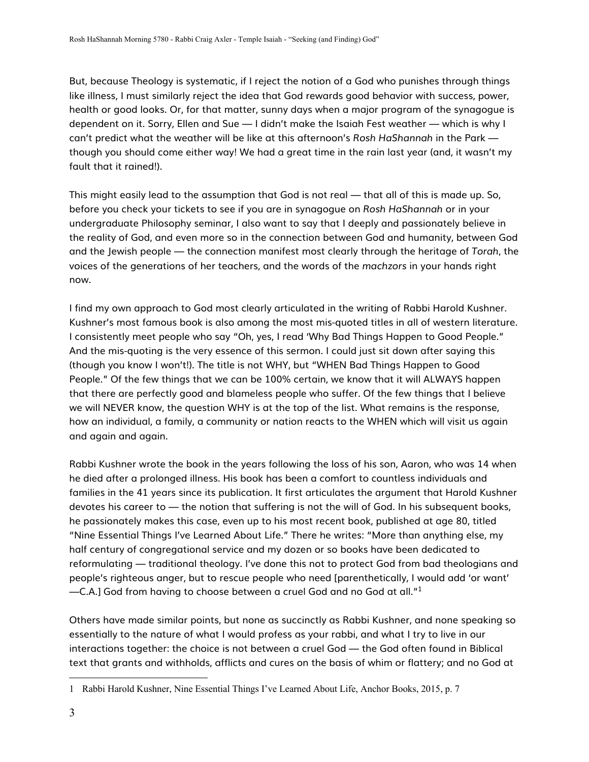But, because Theology is systematic, if I reject the notion of a God who punishes through things like illness, I must similarly reject the idea that God rewards good behavior with success, power, health or good looks. Or, for that matter, sunny days when a major program of the synagogue is dependent on it. Sorry, Ellen and Sue — I didn't make the Isaiah Fest weather — which is why I can't predict what the weather will be like at this afternoon's *Rosh HaShannah* in the Park though you should come either way! We had a great time in the rain last year (and, it wasn't my fault that it rained!).

This might easily lead to the assumption that God is not real — that all of this is made up. So, before you check your tickets to see if you are in synagogue on *Rosh HaShannah* or in your undergraduate Philosophy seminar, I also want to say that I deeply and passionately believe in the reality of God, and even more so in the connection between God and humanity, between God and the Jewish people — the connection manifest most clearly through the heritage of *Torah*, the voices of the generations of her teachers, and the words of the *machzors* in your hands right now.

I find my own approach to God most clearly articulated in the writing of Rabbi Harold Kushner. Kushner's most famous book is also among the most mis-quoted titles in all of western literature. I consistently meet people who say "Oh, yes, I read 'Why Bad Things Happen to Good People." And the mis-quoting is the very essence of this sermon. I could just sit down after saying this (though you know I won't!). The title is not WHY, but "WHEN Bad Things Happen to Good People." Of the few things that we can be 100% certain, we know that it will ALWAYS happen that there are perfectly good and blameless people who suffer. Of the few things that I believe we will NEVER know, the question WHY is at the top of the list. What remains is the response, how an individual, a family, a community or nation reacts to the WHEN which will visit us again and again and again.

Rabbi Kushner wrote the book in the years following the loss of his son, Aaron, who was 14 when he died after a prolonged illness. His book has been a comfort to countless individuals and families in the 41 years since its publication. It first articulates the argument that Harold Kushner devotes his career to — the notion that suffering is not the will of God. In his subsequent books, he passionately makes this case, even up to his most recent book, published at age 80, titled "Nine Essential Things I've Learned About Life." There he writes: "More than anything else, my half century of congregational service and my dozen or so books have been dedicated to reformulating — traditional theology. I've done this not to protect God from bad theologians and people's righteous anger, but to rescue people who need [parenthetically, I would add 'or want'  $-C.A.$ ] God from having to choose between a cruel God and no God at all." $^1$ 

Others have made similar points, but none as succinctly as Rabbi Kushner, and none speaking so essentially to the nature of what I would profess as your rabbi, and what I try to live in our interactions together: the choice is not between a cruel God — the God often found in Biblical text that grants and withholds, afflicts and cures on the basis of whim or flattery; and no God at

<sup>1</sup> Rabbi Harold Kushner, Nine Essential Things I've Learned About Life, Anchor Books, 2015, p. 7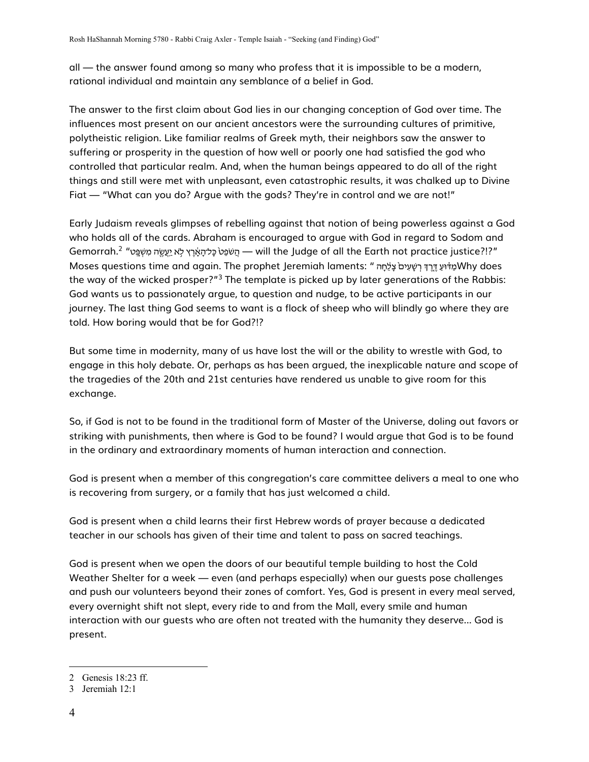all — the answer found among so many who profess that it is impossible to be a modern, rational individual and maintain any semblance of a belief in God.

The answer to the first claim about God lies in our changing conception of God over time. The influences most present on our ancient ancestors were the surrounding cultures of primitive, polytheistic religion. Like familiar realms of Greek myth, their neighbors saw the answer to suffering or prosperity in the question of how well or poorly one had satisfied the god who controlled that particular realm. And, when the human beings appeared to do all of the right things and still were met with unpleasant, even catastrophic results, it was chalked up to Divine Fiat - "What can you do? Argue with the gods? They're in control and we are not!"

Early Judaism reveals glimpses of rebelling against that notion of being powerless against a God who holds all of the cards. Abraham is encouraged to argue with God in regard to Sodom and "Gemorrah.<sup>2</sup> "יַמַּעֵּטֶה מִשָּׁפֵּט" Mill the Judge of all the Earth not practice justice?!?" Moses questions time and again. The prophet Jeremiah laments: "שׁמְה יִי הַיֹּשְׁעִים עֲלָחַה Why does the way of the wicked prosper?"<sup>3</sup> The template is picked up by later generations of the Rabbis: God wants us to passionately argue, to question and nudge, to be active participants in our journey. The last thing God seems to want is a flock of sheep who will blindly go where they are told. How boring would that be for God?!?

But some time in modernity, many of us have lost the will or the ability to wrestle with God, to engage in this holy debate. Or, perhaps as has been argued, the inexplicable nature and scope of the tragedies of the 20th and 21st centuries have rendered us unable to give room for this exchange.

So, if God is not to be found in the traditional form of Master of the Universe, doling out favors or striking with punishments, then where is God to be found? I would argue that God is to be found in the ordinary and extraordinary moments of human interaction and connection.

God is present when a member of this congregation's care committee delivers a meal to one who is recovering from surgery, or a family that has just welcomed a child.

God is present when a child learns their first Hebrew words of prayer because a dedicated teacher in our schools has given of their time and talent to pass on sacred teachings.

God is present when we open the doors of our beautiful temple building to host the Cold Weather Shelter for a week — even (and perhaps especially) when our quests pose challenges and push our volunteers beyond their zones of comfort. Yes, God is present in every meal served, every overnight shift not slept, every ride to and from the Mall, every smile and human interaction with our quests who are often not treated with the humanity they deserve... God is present.

<sup>2</sup> Genesis 18:23 ff.

<sup>3</sup> Jeremiah 12:1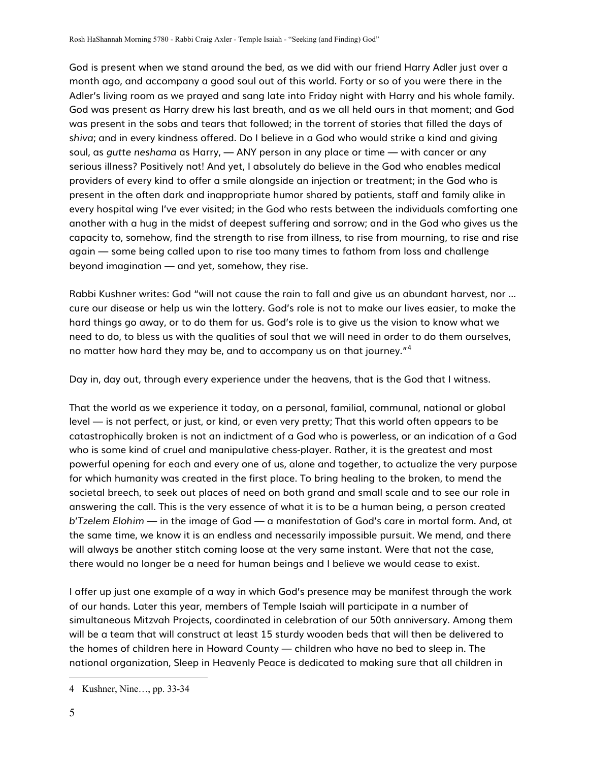God is present when we stand around the bed, as we did with our friend Harry Adler just over a month ago, and accompany a good soul out of this world. Forty or so of you were there in the Adler's living room as we prayed and sang late into Friday night with Harry and his whole family. God was present as Harry drew his last breath, and as we all held ours in that moment; and God was present in the sobs and tears that followed; in the torrent of stories that filled the days of s*hiva*; and in every kindness offered. Do I believe in a God who would strike a kind and giving soul, as *gutte neshama* as Harry, — ANY person in any place or time — with cancer or any serious illness? Positively not! And yet, I absolutely do believe in the God who enables medical providers of every kind to offer a smile alongside an injection or treatment; in the God who is present in the often dark and inappropriate humor shared by patients, staff and family alike in every hospital wing I've ever visited; in the God who rests between the individuals comforting one another with a hug in the midst of deepest suffering and sorrow; and in the God who gives us the capacity to, somehow, find the strength to rise from illness, to rise from mourning, to rise and rise again — some being called upon to rise too many times to fathom from loss and challenge beyond imagination — and yet, somehow, they rise.

Rabbi Kushner writes: God "will not cause the rain to fall and give us an abundant harvest, nor ... cure our disease or help us win the lottery. God's role is not to make our lives easier, to make the hard things go away, or to do them for us. God's role is to give us the vision to know what we need to do, to bless us with the qualities of soul that we will need in order to do them ourselves, no matter how hard they may be, and to accompany us on that journey."<sup>4</sup>

Day in, day out, through every experience under the heavens, that is the God that I witness.

That the world as we experience it today, on a personal, familial, communal, national or global level — is not perfect, or just, or kind, or even very pretty; That this world often appears to be catastrophically broken is not an indictment of a God who is powerless, or an indication of a God who is some kind of cruel and manipulative chess-player. Rather, it is the greatest and most powerful opening for each and every one of us, alone and together, to actualize the very purpose for which humanity was created in the first place. To bring healing to the broken, to mend the societal breech, to seek out places of need on both grand and small scale and to see our role in answering the call. This is the very essence of what it is to be a human being, a person created *b'Tzelem Elohim* — in the image of God — a manifestation of God's care in mortal form. And, at the same time, we know it is an endless and necessarily impossible pursuit. We mend, and there will always be another stitch coming loose at the very same instant. Were that not the case, there would no longer be a need for human beings and I believe we would cease to exist.

I offer up just one example of a way in which God's presence may be manifest through the work of our hands. Later this year, members of Temple Isaiah will participate in a number of simultaneous Mitzvah Projects, coordinated in celebration of our 50th anniversary. Among them will be a team that will construct at least 15 sturdy wooden beds that will then be delivered to the homes of children here in Howard County — children who have no bed to sleep in. The national organization, Sleep in Heavenly Peace is dedicated to making sure that all children in

<sup>4</sup> Kushner, Nine…, pp. 33-34